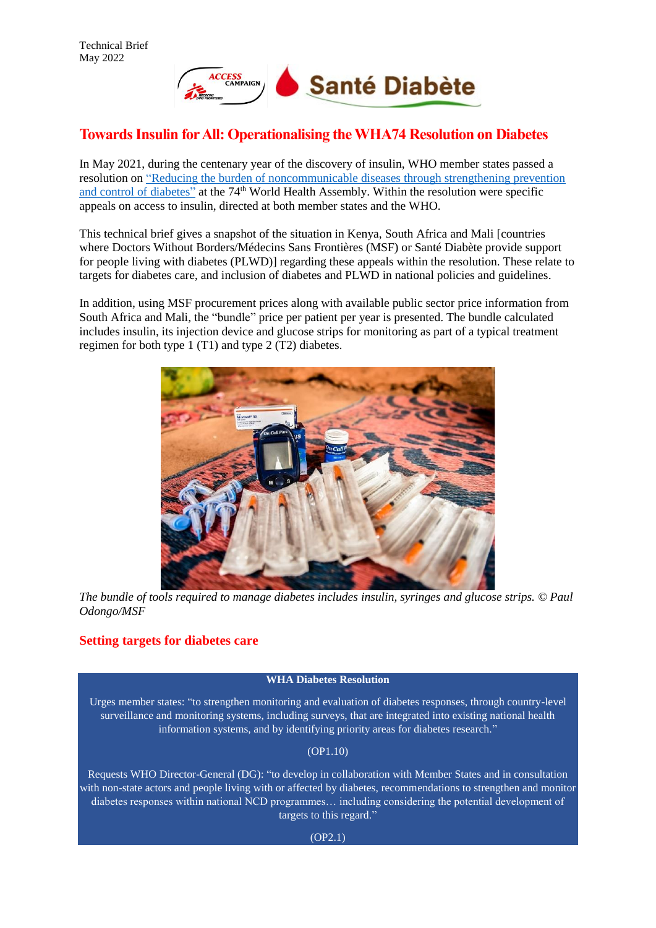

# **Towards Insulin for All: Operationalising the WHA74 Resolution on Diabetes**

In May 2021, during the centenary year of the discovery of insulin, WHO member states passed a resolution on ["Reducing the burden of noncommunicable diseases through strengthening prevention](https://apps.who.int/gb/ebwha/pdf_files/WHA74-REC1/A74_REC1-en.pdf#page=94)  [and control of diabetes"](https://apps.who.int/gb/ebwha/pdf_files/WHA74-REC1/A74_REC1-en.pdf#page=94) at the 74<sup>th</sup> World Health Assembly. Within the resolution were specific appeals on access to insulin, directed at both member states and the WHO.

This technical brief gives a snapshot of the situation in Kenya, South Africa and Mali [countries where Doctors Without Borders/Médecins Sans Frontières (MSF) or Santé Diabète provide support for people living with diabetes (PLWD)] regarding these appeals within the resolution. These relate to targets for diabetes care, and inclusion of diabetes and PLWD in national policies and guidelines.

In addition, using MSF procurement prices along with available public sector price information from South Africa and Mali, the "bundle" price per patient per year is presented. The bundle calculated includes insulin, its injection device and glucose strips for monitoring as part of a typical treatment regimen for both type 1 (T1) and type 2 (T2) diabetes.



*The bundle of tools required to manage diabetes includes insulin, syringes and glucose strips. © Paul Odongo/MSF* 

## **Setting targets for diabetes care**

### **WHA Diabetes Resolution**

Urges member states: "to strengthen monitoring and evaluation of diabetes responses, through country-level surveillance and monitoring systems, including surveys, that are integrated into existing national health information systems, and by identifying priority areas for diabetes research."

(OP1.10)

Requests WHO Director-General (DG): "to develop in collaboration with Member States and in consultation with non-state actors and people living with or affected by diabetes, recommendations to strengthen and monitor diabetes responses within national NCD programmes… including considering the potential development of targets to this regard."

(OP2.1)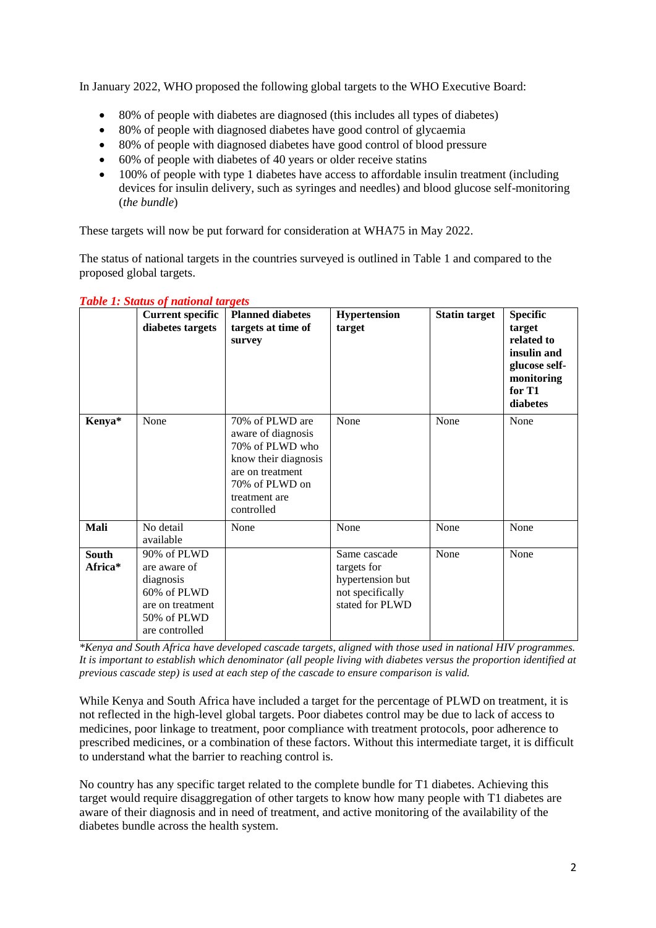In January 2022, WHO proposed the following global targets to the WHO Executive Board:

- 80% of people with diabetes are diagnosed (this includes all types of diabetes)
- 80% of people with diagnosed diabetes have good control of glycaemia
- 80% of people with diagnosed diabetes have good control of blood pressure
- 60% of people with diabetes of 40 years or older receive statins
- 100% of people with type 1 diabetes have access to affordable insulin treatment (including devices for insulin delivery, such as syringes and needles) and blood glucose self-monitoring (*the bundle*)

These targets will now be put forward for consideration at WHA75 in May 2022.

The status of national targets in the countries surveyed is outlined in Table 1 and compared to the proposed global targets.

|                         | <b>Current specific</b><br>diabetes targets                                                                  | <b>Planned diabetes</b><br>targets at time of<br>survey                                                                                               | <b>Hypertension</b><br>target                                                          | <b>Statin target</b> | <b>Specific</b><br>target<br>related to<br>insulin and<br>glucose self-<br>monitoring<br>for T1<br>diabetes |
|-------------------------|--------------------------------------------------------------------------------------------------------------|-------------------------------------------------------------------------------------------------------------------------------------------------------|----------------------------------------------------------------------------------------|----------------------|-------------------------------------------------------------------------------------------------------------|
| Kenya*                  | None                                                                                                         | 70% of PLWD are<br>aware of diagnosis<br>70% of PLWD who<br>know their diagnosis<br>are on treatment<br>70% of PLWD on<br>treatment are<br>controlled | None                                                                                   | None                 | None                                                                                                        |
| Mali                    | No detail<br>available                                                                                       | None                                                                                                                                                  | None                                                                                   | None                 | None                                                                                                        |
| <b>South</b><br>Africa* | 90% of PLWD<br>are aware of<br>diagnosis<br>60% of PLWD<br>are on treatment<br>50% of PLWD<br>are controlled |                                                                                                                                                       | Same cascade<br>targets for<br>hypertension but<br>not specifically<br>stated for PLWD | None                 | None                                                                                                        |

### *Table 1: Status of national targets*

*\*Kenya and South Africa have developed cascade targets, aligned with those used in national HIV programmes. It is important to establish which denominator (all people living with diabetes versus the proportion identified at previous cascade step) is used at each step of the cascade to ensure comparison is valid.* 

While Kenya and South Africa have included a target for the percentage of PLWD on treatment, it is not reflected in the high-level global targets. Poor diabetes control may be due to lack of access to medicines, poor linkage to treatment, poor compliance with treatment protocols, poor adherence to prescribed medicines, or a combination of these factors. Without this intermediate target, it is difficult to understand what the barrier to reaching control is.

No country has any specific target related to the complete bundle for T1 diabetes. Achieving this target would require disaggregation of other targets to know how many people with T1 diabetes are aware of their diagnosis and in need of treatment, and active monitoring of the availability of the diabetes bundle across the health system.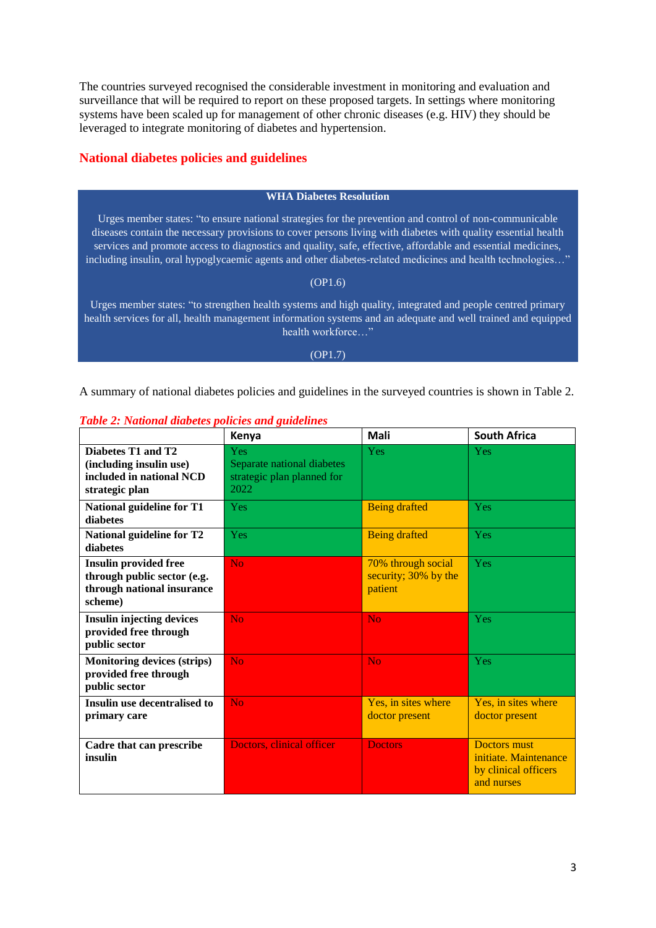The countries surveyed recognised the considerable investment in monitoring and evaluation and surveillance that will be required to report on these proposed targets. In settings where monitoring systems have been scaled up for management of other chronic diseases (e.g. HIV) they should be leveraged to integrate monitoring of diabetes and hypertension.

### **National diabetes policies and guidelines**

### **WHA Diabetes Resolution**

Urges member states: "to ensure national strategies for the prevention and control of non-communicable diseases contain the necessary provisions to cover persons living with diabetes with quality essential health services and promote access to diagnostics and quality, safe, effective, affordable and essential medicines, including insulin, oral hypoglycaemic agents and other diabetes-related medicines and health technologies…"

### (OP1.6)

Urges member states: "to strengthen health systems and high quality, integrated and people centred primary health services for all, health management information systems and an adequate and well trained and equipped health workforce..."

### (OP1.7)

A summary of national diabetes policies and guidelines in the surveyed countries is shown in Table 2.

|                                                                                                      | Kenya                                                                          | Mali                                                  | <b>South Africa</b>                                                                |
|------------------------------------------------------------------------------------------------------|--------------------------------------------------------------------------------|-------------------------------------------------------|------------------------------------------------------------------------------------|
| Diabetes T1 and T2<br>(including insulin use)<br>included in national NCD<br>strategic plan          | <b>Yes</b><br>Separate national diabetes<br>strategic plan planned for<br>2022 | Yes                                                   | <b>Yes</b>                                                                         |
| National guideline for T1<br>diabetes                                                                | Yes                                                                            | <b>Being drafted</b>                                  | <b>Yes</b>                                                                         |
| National guideline for T2<br>diabetes                                                                | Yes                                                                            | <b>Being drafted</b>                                  | <b>Yes</b>                                                                         |
| <b>Insulin provided free</b><br>through public sector (e.g.<br>through national insurance<br>scheme) | N <sub>o</sub>                                                                 | 70% through social<br>security; 30% by the<br>patient | <b>Yes</b>                                                                         |
| <b>Insulin injecting devices</b><br>provided free through<br>public sector                           | <b>No</b>                                                                      | N <sub>o</sub>                                        | Yes                                                                                |
| <b>Monitoring devices (strips)</b><br>provided free through<br>public sector                         | <b>No</b>                                                                      | <b>No</b>                                             | Yes                                                                                |
| Insulin use decentralised to<br>primary care                                                         | <b>No</b>                                                                      | Yes, in sites where<br>doctor present                 | Yes, in sites where<br>doctor present                                              |
| Cadre that can prescribe<br>insulin                                                                  | Doctors, clinical officer                                                      | <b>Doctors</b>                                        | <b>Doctors</b> must<br>initiate. Maintenance<br>by clinical officers<br>and nurses |

### *Table 2: National diabetes policies and guidelines*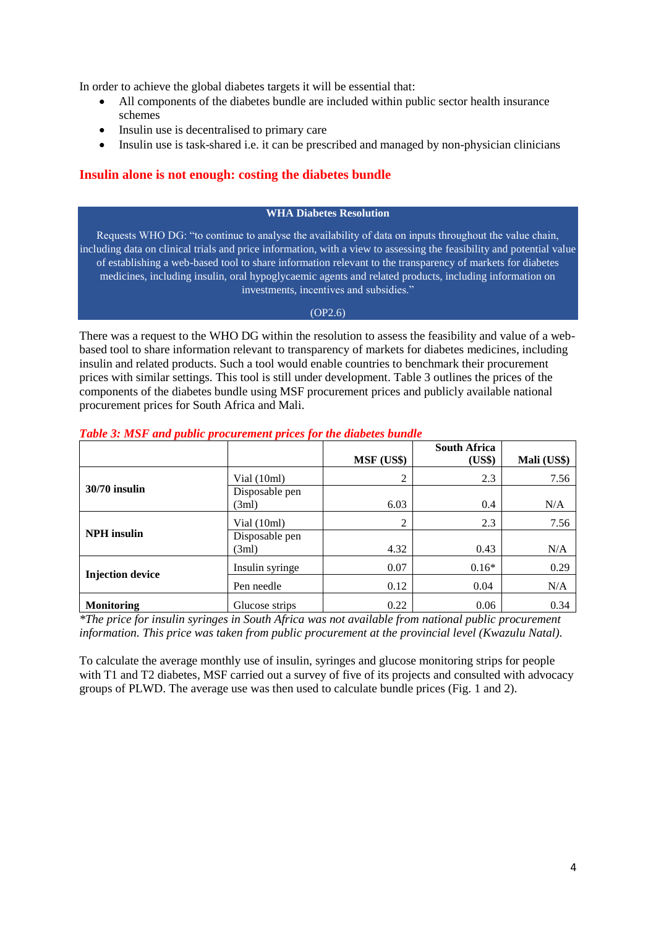In order to achieve the global diabetes targets it will be essential that:

- All components of the diabetes bundle are included within public sector health insurance schemes
- Insulin use is decentralised to primary care
- Insulin use is task-shared i.e. it can be prescribed and managed by non-physician clinicians

### **Insulin alone is not enough: costing the diabetes bundle**

### **WHA Diabetes Resolution**

Requests WHO DG: "to continue to analyse the availability of data on inputs throughout the value chain, including data on clinical trials and price information, with a view to assessing the feasibility and potential value of establishing a web-based tool to share information relevant to the transparency of markets for diabetes medicines, including insulin, oral hypoglycaemic agents and related products, including information on investments, incentives and subsidies."

### (OP2.6)

There was a request to the WHO DG within the resolution to assess the feasibility and value of a webbased tool to share information relevant to transparency of markets for diabetes medicines, including insulin and related products. Such a tool would enable countries to benchmark their procurement prices with similar settings. This tool is still under development. Table 3 outlines the prices of the components of the diabetes bundle using MSF procurement prices and publicly available national procurement prices for South Africa and Mali.

|                         |                         | MSF (US\$) | <b>South Africa</b><br>(US\$) | Mali (US\$) |
|-------------------------|-------------------------|------------|-------------------------------|-------------|
|                         | Vial $(10ml)$           | 2          | 2.3                           | 7.56        |
| $30/70$ insulin         | Disposable pen<br>(3ml) | 6.03       | 0.4                           | N/A         |
|                         | Vial (10ml)             | 2          | 2.3                           | 7.56        |
| <b>NPH</b> insulin      | Disposable pen<br>(3ml) | 4.32       | 0.43                          | N/A         |
|                         | Insulin syringe         | 0.07       | $0.16*$                       | 0.29        |
| <b>Injection device</b> | Pen needle              | 0.12       | 0.04                          | N/A         |
| <b>Monitoring</b>       | Glucose strips          | 0.22       | 0.06                          | 0.34        |

### *Table 3: MSF and public procurement prices for the diabetes bundle*

*\*The price for insulin syringes in South Africa was not available from national public procurement information. This price was taken from public procurement at the provincial level (Kwazulu Natal).*

To calculate the average monthly use of insulin, syringes and glucose monitoring strips for people with T1 and T2 diabetes, MSF carried out a survey of five of its projects and consulted with advocacy groups of PLWD. The average use was then used to calculate bundle prices (Fig. 1 and 2).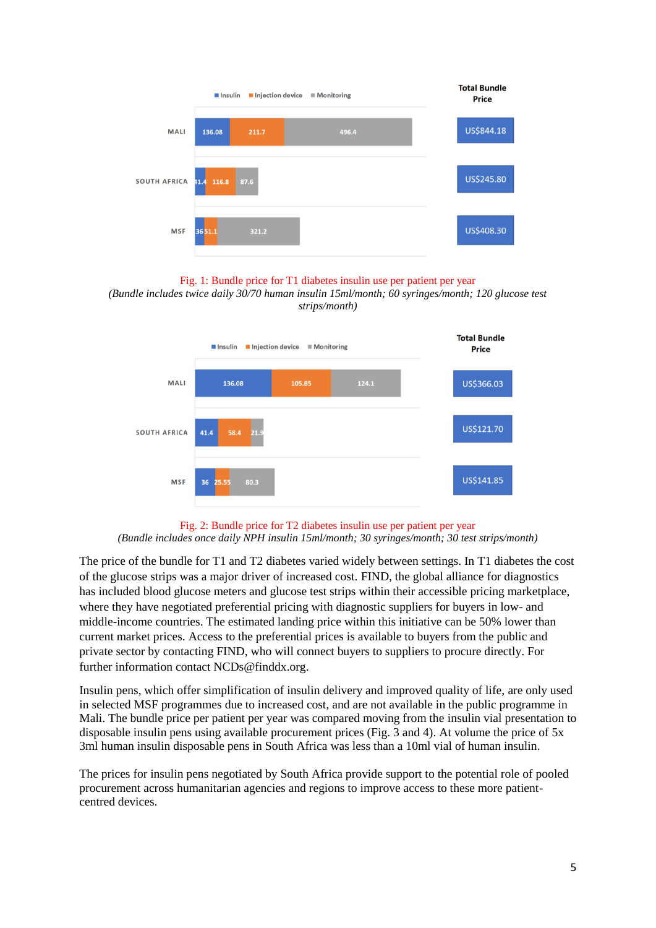

### Fig. 1: Bundle price for T1 diabetes insulin use per patient per year

*(Bundle includes twice daily 30/70 human insulin 15ml/month; 60 syringes/month; 120 glucose test strips/month)*



Fig. 2: Bundle price for T2 diabetes insulin use per patient per year *(Bundle includes once daily NPH insulin 15ml/month; 30 syringes/month; 30 test strips/month)*

The price of the bundle for T1 and T2 diabetes varied widely between settings. In T1 diabetes the cost of the glucose strips was a major driver of increased cost. FIND, the global alliance for diagnostics has included blood glucose meters and glucose test strips within their accessible pricing marketplace, where they have negotiated preferential pricing with diagnostic suppliers for buyers in low- and middle-income countries. The estimated landing price within this initiative can be 50% lower than current market prices. Access to the preferential prices is available to buyers from the public and private sector by contacting FIND, who will connect buyers to suppliers to procure directly. For further information contact NCDs@finddx.org.

Insulin pens, which offer simplification of insulin delivery and improved quality of life, are only used in selected MSF programmes due to increased cost, and are not available in the public programme in Mali. The bundle price per patient per year was compared moving from the insulin vial presentation to disposable insulin pens using available procurement prices (Fig. 3 and 4). At volume the price of 5x 3ml human insulin disposable pens in South Africa was less than a 10ml vial of human insulin.

The prices for insulin pens negotiated by South Africa provide support to the potential role of pooled procurement across humanitarian agencies and regions to improve access to these more patientcentred devices.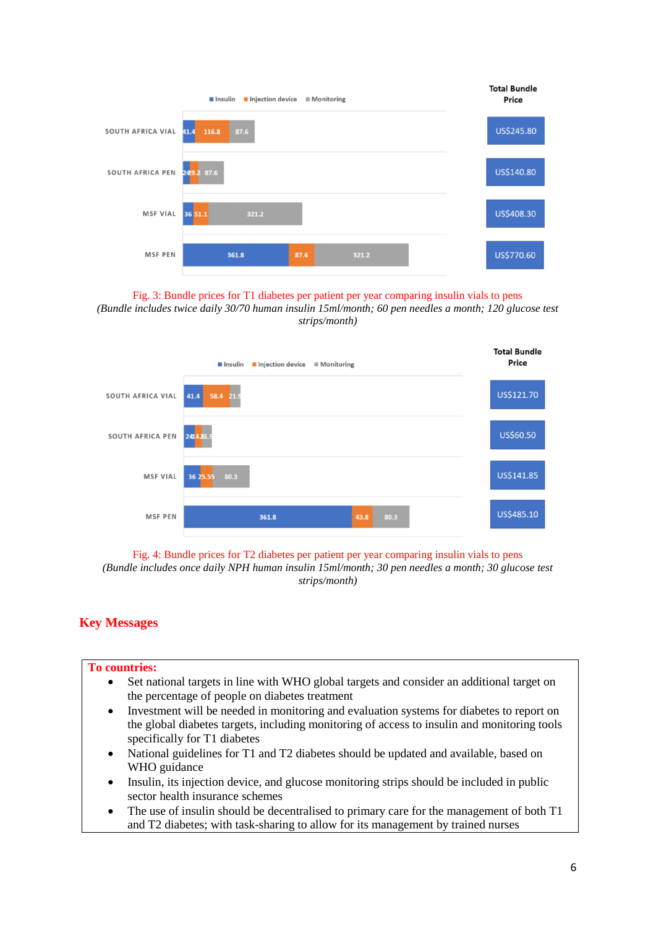|                          | Injection device<br>lnsulin | ■ Monitoring  | <b>Total Bundle</b><br><b>Price</b> |
|--------------------------|-----------------------------|---------------|-------------------------------------|
| <b>SOUTH AFRICA VIAL</b> | 116.8<br>87.6<br>41.4       |               | US\$245.80                          |
| <b>SOUTH AFRICA PEN</b>  | 249.2 87.6                  |               | US\$140.80                          |
| <b>MSF VIAL</b>          | 36 51.1<br>321.2            |               | US\$408.30                          |
| <b>MSF PEN</b>           | 361.8                       | 321.2<br>87.6 | US\$770.60                          |

Fig. 3: Bundle prices for T1 diabetes per patient per year comparing insulin vials to pens *(Bundle includes twice daily 30/70 human insulin 15ml/month; 60 pen needles a month; 120 glucose test strips/month)*



Fig. 4: Bundle prices for T2 diabetes per patient per year comparing insulin vials to pens

*(Bundle includes once daily NPH human insulin 15ml/month; 30 pen needles a month; 30 glucose test strips/month)*

# **Key Messages**

### **To countries:**

- Set national targets in line with WHO global targets and consider an additional target on the percentage of people on diabetes treatment
- Investment will be needed in monitoring and evaluation systems for diabetes to report on the global diabetes targets, including monitoring of access to insulin and monitoring tools specifically for T1 diabetes
- National guidelines for T1 and T2 diabetes should be updated and available, based on WHO guidance
- Insulin, its injection device, and glucose monitoring strips should be included in public sector health insurance schemes
- The use of insulin should be decentralised to primary care for the management of both T1 and T2 diabetes; with task-sharing to allow for its management by trained nurses